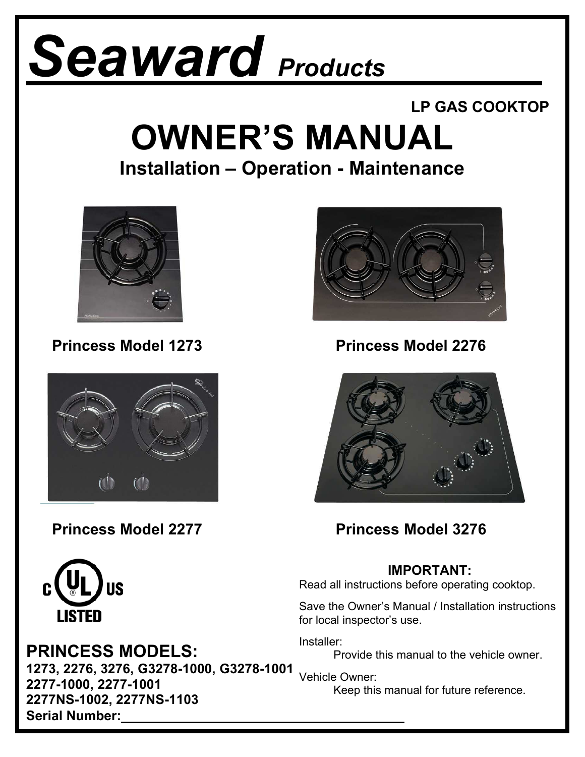# *Seaward Products*

#### **LP GAS COOKTOP**

## **OWNER'S MANUAL**

#### **Installation – Operation - Maintenance**



**Princess Model 1273 Princess Model 2276**







**Princess Model 2277 Princess Model 3276**

#### **IMPORTANT:**

Read all instructions before operating cooktop.

Save the Owner's Manual / Installation instructions for local inspector's use.

Installer:

Provide this manual to the vehicle owner.

Keep this manual for future reference.



#### **PRINCESS MODELS:**

**1273, 2276, 3276, G3278-1000, G3278-1001**  Vehicle Owner: **2277-1000, 2277-1001 2277NS-1002, 2277NS-1103 Serial Number:**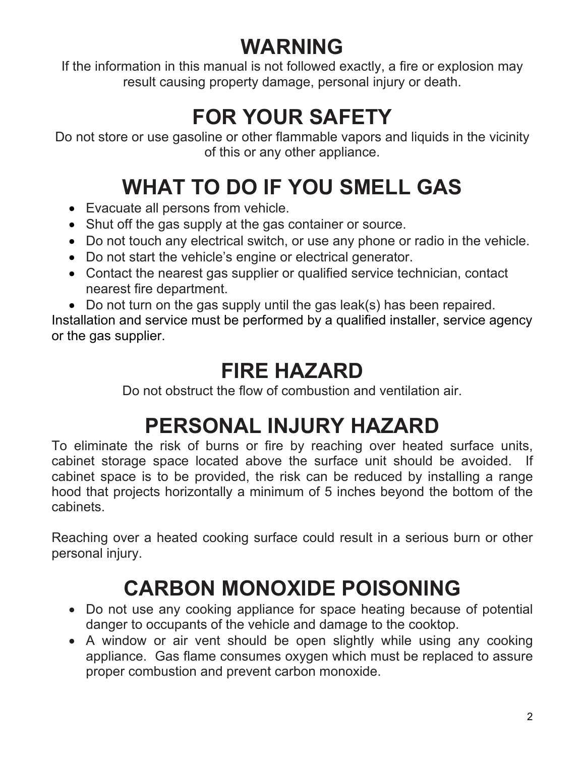### **WARNING**

If the information in this manual is not followed exactly, a fire or explosion may result causing property damage, personal injury or death.

### **FOR YOUR SAFETY**

Do not store or use gasoline or other flammable vapors and liquids in the vicinity of this or any other appliance.

### **WHAT TO DO IF YOU SMELL GAS**

- Evacuate all persons from vehicle.
- Shut off the gas supply at the gas container or source.
- Do not touch any electrical switch, or use any phone or radio in the vehicle.
- Do not start the vehicle's engine or electrical generator.
- Contact the nearest gas supplier or qualified service technician, contact nearest fire department.
- Do not turn on the gas supply until the gas leak(s) has been repaired.

Installation and service must be performed by a qualified installer, service agency or the gas supplier.

### **FIRE HAZARD**

Do not obstruct the flow of combustion and ventilation air.

### **PERSONAL INJURY HAZARD**

To eliminate the risk of burns or fire by reaching over heated surface units, cabinet storage space located above the surface unit should be avoided. If cabinet space is to be provided, the risk can be reduced by installing a range hood that projects horizontally a minimum of 5 inches beyond the bottom of the cabinets.

Reaching over a heated cooking surface could result in a serious burn or other personal injury.

### **CARBON MONOXIDE POISONING**

- Do not use any cooking appliance for space heating because of potential danger to occupants of the vehicle and damage to the cooktop.
- A window or air vent should be open slightly while using any cooking appliance. Gas flame consumes oxygen which must be replaced to assure proper combustion and prevent carbon monoxide.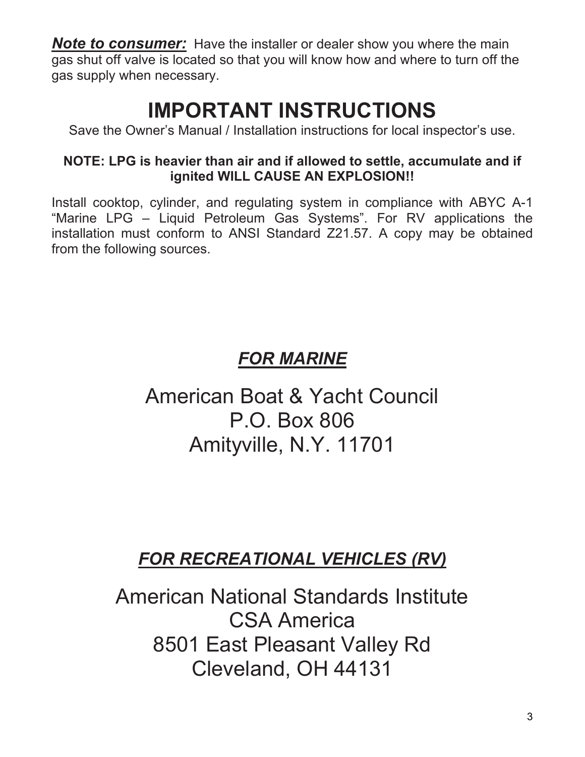**Note to consumer:** Have the installer or dealer show you where the main gas shut off valve is located so that you will know how and where to turn off the gas supply when necessary.

### **IMPORTANT INSTRUCTIONS**

Save the Owner's Manual / Installation instructions for local inspector's use.

#### **NOTE: LPG is heavier than air and if allowed to settle, accumulate and if ignited WILL CAUSE AN EXPLOSION!!**

Install cooktop, cylinder, and regulating system in compliance with ABYC A-1 "Marine LPG – Liquid Petroleum Gas Systems". For RV applications the installation must conform to ANSI Standard Z21.57. A copy may be obtained from the following sources.

#### *FOR MARINE*

### American Boat & Yacht Council P.O. Box 806 Amityville, N.Y. 11701

#### *FOR RECREATIONAL VEHICLES (RV)*

American National Standards Institute CSA America 8501 East Pleasant Valley Rd Cleveland, OH 44131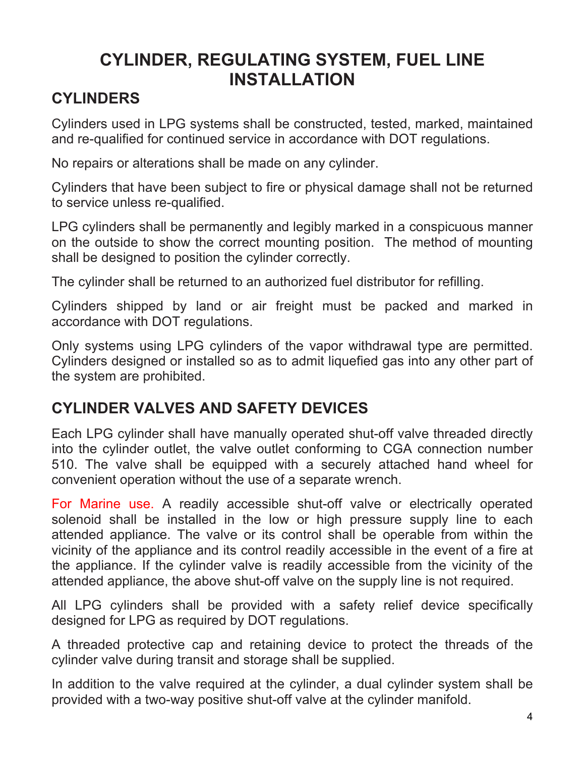#### **CYLINDER, REGULATING SYSTEM, FUEL LINE INSTALLATION**

#### **CYLINDERS**

Cylinders used in LPG systems shall be constructed, tested, marked, maintained and re-qualified for continued service in accordance with DOT regulations.

No repairs or alterations shall be made on any cylinder.

Cylinders that have been subject to fire or physical damage shall not be returned to service unless re-qualified.

LPG cylinders shall be permanently and legibly marked in a conspicuous manner on the outside to show the correct mounting position. The method of mounting shall be designed to position the cylinder correctly.

The cylinder shall be returned to an authorized fuel distributor for refilling.

Cylinders shipped by land or air freight must be packed and marked in accordance with DOT regulations.

Only systems using LPG cylinders of the vapor withdrawal type are permitted. Cylinders designed or installed so as to admit liquefied gas into any other part of the system are prohibited.

#### **CYLINDER VALVES AND SAFETY DEVICES**

Each LPG cylinder shall have manually operated shut-off valve threaded directly into the cylinder outlet, the valve outlet conforming to CGA connection number 510. The valve shall be equipped with a securely attached hand wheel for convenient operation without the use of a separate wrench.

For Marine use. A readily accessible shut-off valve or electrically operated solenoid shall be installed in the low or high pressure supply line to each attended appliance. The valve or its control shall be operable from within the vicinity of the appliance and its control readily accessible in the event of a fire at the appliance. If the cylinder valve is readily accessible from the vicinity of the attended appliance, the above shut-off valve on the supply line is not required.

All LPG cylinders shall be provided with a safety relief device specifically designed for LPG as required by DOT regulations.

A threaded protective cap and retaining device to protect the threads of the cylinder valve during transit and storage shall be supplied.

In addition to the valve required at the cylinder, a dual cylinder system shall be provided with a two-way positive shut-off valve at the cylinder manifold.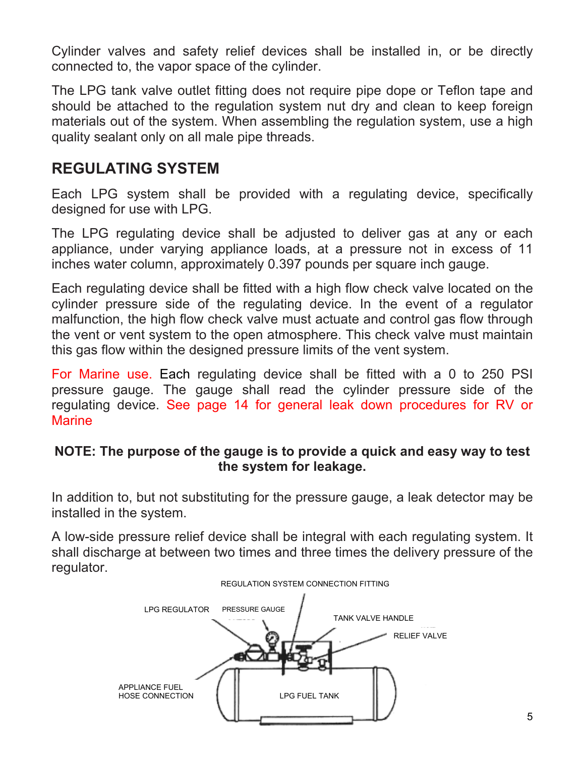Cylinder valves and safety relief devices shall be installed in, or be directly connected to, the vapor space of the cylinder.

The LPG tank valve outlet fitting does not require pipe dope or Teflon tape and should be attached to the regulation system nut dry and clean to keep foreign materials out of the system. When assembling the regulation system, use a high quality sealant only on all male pipe threads.

#### **REGULATING SYSTEM**

Each LPG system shall be provided with a regulating device, specifically designed for use with LPG.

The LPG regulating device shall be adjusted to deliver gas at any or each appliance, under varying appliance loads, at a pressure not in excess of 11 inches water column, approximately 0.397 pounds per square inch gauge.

Each regulating device shall be fitted with a high flow check valve located on the cylinder pressure side of the regulating device. In the event of a regulator malfunction, the high flow check valve must actuate and control gas flow through the vent or vent system to the open atmosphere. This check valve must maintain this gas flow within the designed pressure limits of the vent system.

For Marine use. Each regulating device shall be fitted with a 0 to 250 PSI pressure gauge. The gauge shall read the cylinder pressure side of the regulating device. See page 14 for general leak down procedures for RV or **Marine** 

#### **NOTE: The purpose of the gauge is to provide a quick and easy way to test the system for leakage.**

In addition to, but not substituting for the pressure gauge, a leak detector may be installed in the system.

A low-side pressure relief device shall be integral with each regulating system. It shall discharge at between two times and three times the delivery pressure of the regulator.

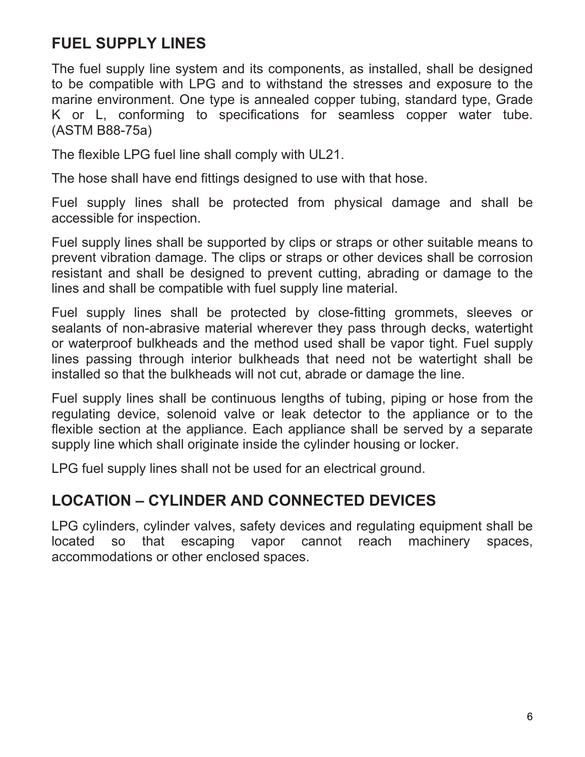#### **FUEL SUPPLY LINES**

The fuel supply line system and its components, as installed, shall be designed to be compatible with LPG and to withstand the stresses and exposure to the marine environment. One type is annealed copper tubing, standard type, Grade K or L, conforming to specifications for seamless copper water tube. (ASTM B88-75a)

The flexible LPG fuel line shall comply with UL21.

The hose shall have end fittings designed to use with that hose.

Fuel supply lines shall be protected from physical damage and shall be accessible for inspection.

Fuel supply lines shall be supported by clips or straps or other suitable means to prevent vibration damage. The clips or straps or other devices shall be corrosion resistant and shall be designed to prevent cutting, abrading or damage to the lines and shall be compatible with fuel supply line material.

Fuel supply lines shall be protected by close-fitting grommets, sleeves or sealants of non-abrasive material wherever they pass through decks, watertight or waterproof bulkheads and the method used shall be vapor tight. Fuel supply lines passing through interior bulkheads that need not be watertight shall be installed so that the bulkheads will not cut, abrade or damage the line.

Fuel supply lines shall be continuous lengths of tubing, piping or hose from the regulating device, solenoid valve or leak detector to the appliance or to the flexible section at the appliance. Each appliance shall be served by a separate supply line which shall originate inside the cylinder housing or locker.

LPG fuel supply lines shall not be used for an electrical ground.

#### **LOCATION – CYLINDER AND CONNECTED DEVICES**

LPG cylinders, cylinder valves, safety devices and regulating equipment shall be located so that escaping vapor cannot reach machinery spaces, accommodations or other enclosed spaces.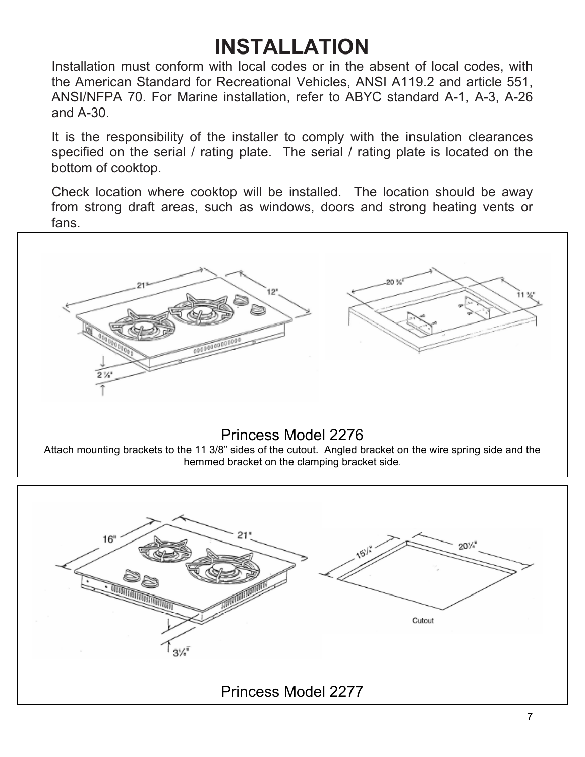### **INSTALLATION**

Installation must conform with local codes or in the absent of local codes, with the American Standard for Recreational Vehicles, ANSI A119.2 and article 551, ANSI/NFPA 70. For Marine installation, refer to ABYC standard A-1, A-3, A-26 and A-30.

It is the responsibility of the installer to comply with the insulation clearances specified on the serial / rating plate. The serial / rating plate is located on the bottom of cooktop.

Check location where cooktop will be installed. The location should be away from strong draft areas, such as windows, doors and strong heating vents or fans.



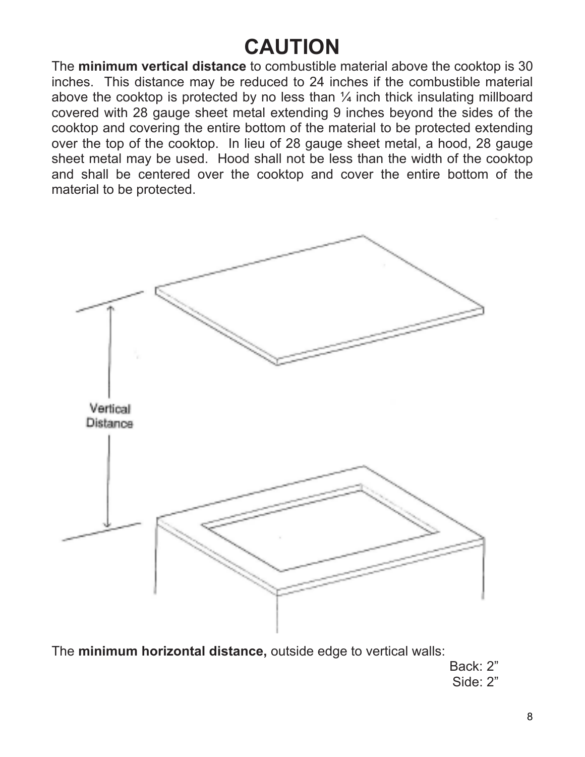### **CAUTION**

The **minimum vertical distance** to combustible material above the cooktop is 30 inches. This distance may be reduced to 24 inches if the combustible material above the cooktop is protected by no less than  $\frac{1}{4}$  inch thick insulating millboard covered with 28 gauge sheet metal extending 9 inches beyond the sides of the cooktop and covering the entire bottom of the material to be protected extending over the top of the cooktop. In lieu of 28 gauge sheet metal, a hood, 28 gauge sheet metal may be used. Hood shall not be less than the width of the cooktop and shall be centered over the cooktop and cover the entire bottom of the material to be protected.



The **minimum horizontal distance,** outside edge to vertical walls:

Back: 2" Side: 2"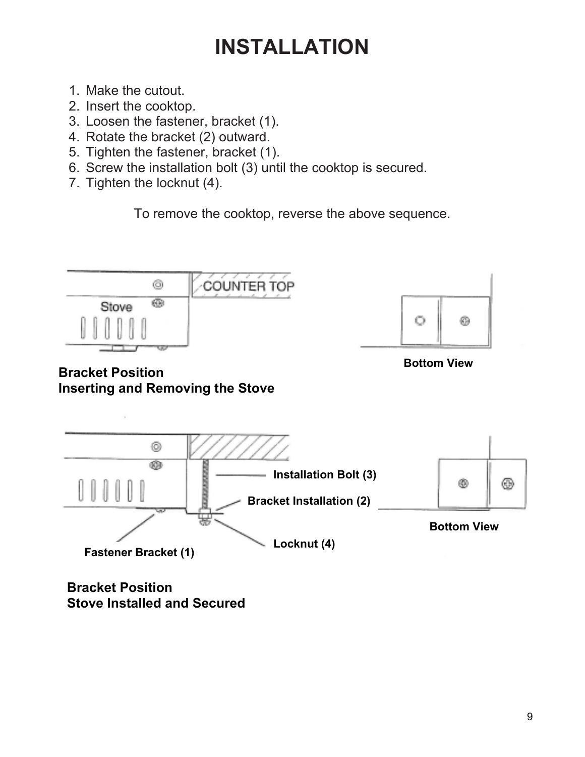### **INSTALLATION**

- 1. Make the cutout.
- 2. Insert the cooktop.
- 3. Loosen the fastener, bracket (1).
- 4. Rotate the bracket (2) outward.
- 5. Tighten the fastener, bracket (1).
- 6. Screw the installation bolt (3) until the cooktop is secured.
- 7. Tighten the locknut (4).

To remove the cooktop, reverse the above sequence.





**Bottom View** 

#### **Bracket Position Inserting and Removing the Stove**



**Bracket Position Stove Installed and Secured**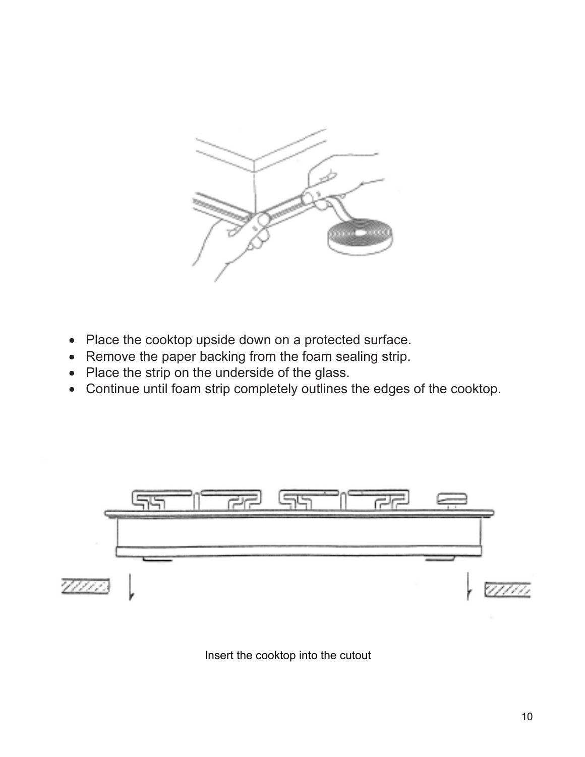

- Place the cooktop upside down on a protected surface.
- Remove the paper backing from the foam sealing strip.
- Place the strip on the underside of the glass.
- Continue until foam strip completely outlines the edges of the cooktop.



Insert the cooktop into the cutout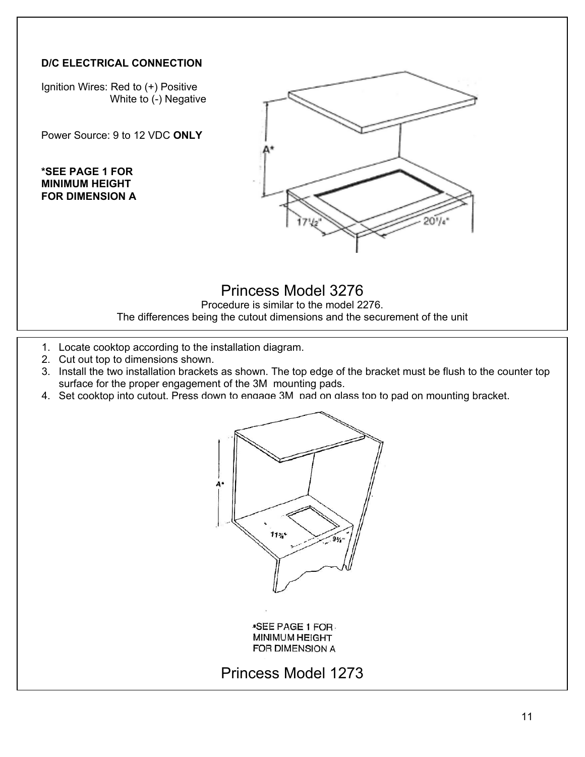#### **D/C ELECTRICAL CONNECTION**

Ignition Wires: Red to (+) Positive White to (-) Negative

Power Source: 9 to 12 VDC **ONLY** 

**\*SEE PAGE 1 FOR MINIMUM HEIGHT FOR DIMENSION A**



#### Princess Model 3276

Procedure is similar to the model 2276. The differences being the cutout dimensions and the securement of the unit

- 1. Locate cooktop according to the installation diagram.
- 2. Cut out top to dimensions shown.
- 3. Install the two installation brackets as shown. The top edge of the bracket must be flush to the counter top surface for the proper engagement of the 3M mounting pads.
- 4. Set cooktop into cutout. Press down to engage 3M pad on glass top to pad on mounting bracket.



**\*SEE PAGE 1 FOR.** MINIMUM HEIGHT FOR DIMENSION A

#### Princess Model 1273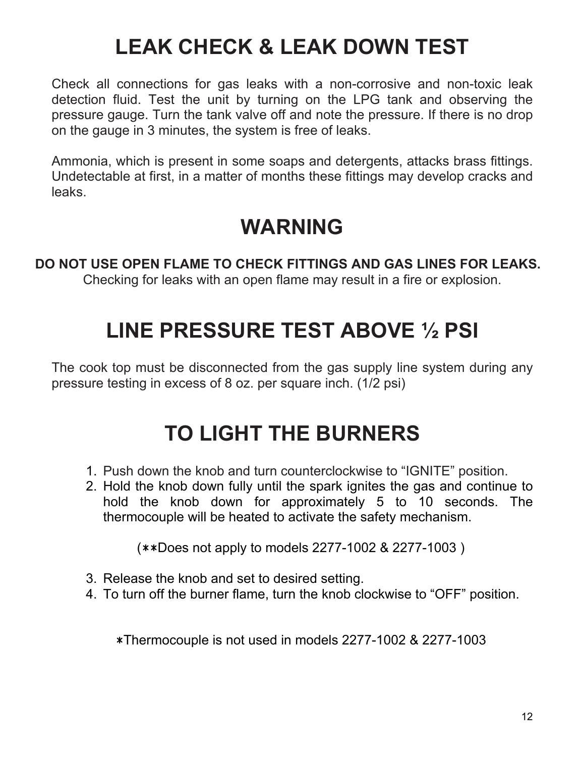### **LEAK CHECK & LEAK DOWN TEST**

Check all connections for gas leaks with a non-corrosive and non-toxic leak detection fluid. Test the unit by turning on the LPG tank and observing the pressure gauge. Turn the tank valve off and note the pressure. If there is no drop on the gauge in 3 minutes, the system is free of leaks.

Ammonia, which is present in some soaps and detergents, attacks brass fittings. Undetectable at first, in a matter of months these fittings may develop cracks and leaks.

### **WARNING**

### **DO NOT USE OPEN FLAME TO CHECK FITTINGS AND GAS LINES FOR LEAKS.**

Checking for leaks with an open flame may result in a fire or explosion.

### **LINE PRESSURE TEST ABOVE ½ PSI**

The cook top must be disconnected from the gas supply line system during any pressure testing in excess of 8 oz. per square inch. (1/2 psi)

### **TO LIGHT THE BURNERS**

- 1. Push down the knob and turn counterclockwise to "IGNITE" position.
- 2. Hold the knob down fully until the spark ignites the gas and continue to hold the knob down for approximately 5 to 10 seconds. The thermocouple will be heated to activate the safety mechanism.

(\*\*Does not apply to models 2277-1002 & 2277-1003 )

- 3. Release the knob and set to desired setting.
- 4. To turn off the burner flame, turn the knob clockwise to "OFF" position.

\*Thermocouple is not used in models 2277-1002 & 2277-1003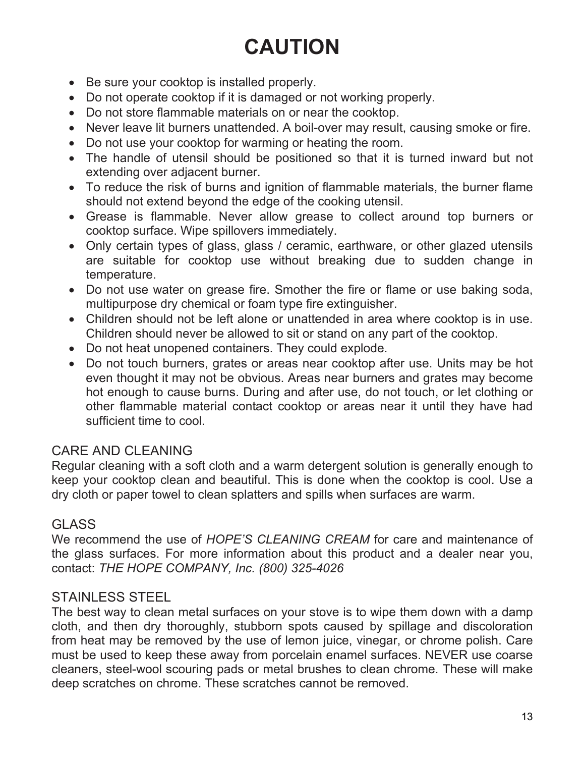### **CAUTION**

- Be sure your cooktop is installed properly.
- Do not operate cooktop if it is damaged or not working properly.
- Do not store flammable materials on or near the cooktop.
- Never leave lit burners unattended. A boil-over may result, causing smoke or fire.
- Do not use your cooktop for warming or heating the room.
- The handle of utensil should be positioned so that it is turned inward but not extending over adjacent burner.
- To reduce the risk of burns and ignition of flammable materials, the burner flame should not extend beyond the edge of the cooking utensil.
- Grease is flammable. Never allow grease to collect around top burners or cooktop surface. Wipe spillovers immediately.
- Only certain types of glass, glass / ceramic, earthware, or other glazed utensils are suitable for cooktop use without breaking due to sudden change in temperature.
- Do not use water on grease fire. Smother the fire or flame or use baking soda, multipurpose dry chemical or foam type fire extinguisher.
- Children should not be left alone or unattended in area where cooktop is in use. Children should never be allowed to sit or stand on any part of the cooktop.
- Do not heat unopened containers. They could explode.
- Do not touch burners, grates or areas near cooktop after use. Units may be hot even thought it may not be obvious. Areas near burners and grates may become hot enough to cause burns. During and after use, do not touch, or let clothing or other flammable material contact cooktop or areas near it until they have had sufficient time to cool.

#### CARE AND CLEANING

Regular cleaning with a soft cloth and a warm detergent solution is generally enough to keep your cooktop clean and beautiful. This is done when the cooktop is cool. Use a dry cloth or paper towel to clean splatters and spills when surfaces are warm.

#### GLASS

We recommend the use of *HOPE'S CLEANING CREAM* for care and maintenance of the glass surfaces. For more information about this product and a dealer near you, contact: *THE HOPE COMPANY, Inc. (800) 325-4026* 

#### STAINLESS STEEL

The best way to clean metal surfaces on your stove is to wipe them down with a damp cloth, and then dry thoroughly, stubborn spots caused by spillage and discoloration from heat may be removed by the use of lemon juice, vinegar, or chrome polish. Care must be used to keep these away from porcelain enamel surfaces. NEVER use coarse cleaners, steel-wool scouring pads or metal brushes to clean chrome. These will make deep scratches on chrome. These scratches cannot be removed.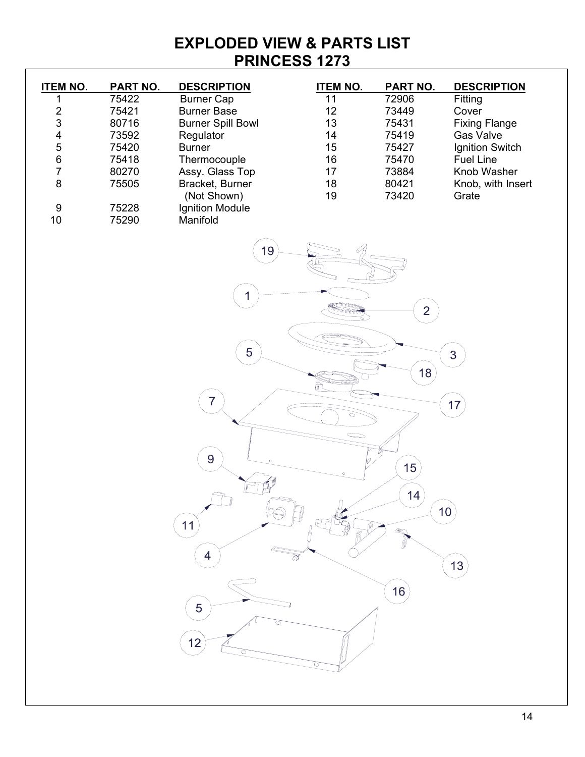#### **EXPLODED VIEW & PARTS LIST PRINCESS 1273**

| <b>ITEM NO.</b>                       | <b>PART NO.</b> | <b>DESCRIPTION</b>       | <b>ITEM NO.</b>          | <b>PART NO.</b> | <b>DESCRIPTION</b>   |
|---------------------------------------|-----------------|--------------------------|--------------------------|-----------------|----------------------|
| 1                                     | 75422           | <b>Burner Cap</b>        | 11                       | 72906           | Fitting              |
| $\overline{\mathbf{c}}$               | 75421           | <b>Burner Base</b>       | 12                       | 73449           | Cover                |
| $\mathfrak{S}$                        | 80716           | <b>Burner Spill Bowl</b> | 13                       | 75431           | <b>Fixing Flange</b> |
| $\overline{\mathbf{4}}$               | 73592           | Regulator                | 14                       | 75419           | <b>Gas Valve</b>     |
|                                       | 75420           | <b>Burner</b>            | 15                       | 75427           | Ignition Switch      |
| $\begin{array}{c} 5 \\ 6 \end{array}$ | 75418           | Thermocouple             | 16                       | 75470           | <b>Fuel Line</b>     |
| $\overline{7}$                        | 80270           | Assy. Glass Top          | 17                       | 73884           | Knob Washer          |
| 8                                     | 75505           | Bracket, Burner          | 18                       | 80421           | Knob, with Insert    |
|                                       |                 | (Not Shown)              | 19                       | 73420           | Grate                |
| $\boldsymbol{9}$                      | 75228           | Ignition Module          |                          |                 |                      |
| $10$                                  | 75290           | Manifold                 |                          |                 |                      |
|                                       |                 |                          |                          |                 |                      |
|                                       |                 | 19                       |                          |                 |                      |
|                                       |                 |                          |                          |                 |                      |
|                                       |                 |                          |                          |                 |                      |
|                                       |                 | 1                        |                          |                 |                      |
|                                       |                 |                          | <b>MARK OFF</b><br>केलेक | $\overline{2}$  |                      |
|                                       |                 |                          |                          |                 |                      |
|                                       |                 |                          |                          |                 |                      |
|                                       |                 | 5                        |                          |                 |                      |
|                                       |                 |                          |                          |                 | 3                    |
|                                       |                 |                          |                          | 18              |                      |
|                                       |                 |                          |                          |                 |                      |
|                                       |                 | $\overline{7}$           |                          |                 | 17                   |
|                                       |                 |                          | $\circ$                  |                 |                      |
|                                       |                 |                          |                          |                 |                      |
|                                       |                 |                          |                          |                 |                      |
|                                       |                 | 9<br>$\circ$             |                          |                 |                      |
|                                       |                 |                          |                          | 15 <sup>2</sup> |                      |
|                                       |                 |                          |                          |                 |                      |
|                                       |                 |                          |                          | 14              |                      |
|                                       |                 |                          |                          |                 | 10                   |
|                                       |                 | 11                       |                          |                 |                      |
|                                       |                 |                          |                          |                 |                      |
|                                       |                 |                          | $\overline{\mathcal{S}}$ |                 |                      |
|                                       |                 |                          |                          |                 | 13                   |
|                                       |                 |                          |                          |                 |                      |
|                                       |                 |                          |                          | 16              |                      |
|                                       |                 | 5                        |                          |                 |                      |
|                                       |                 |                          |                          |                 |                      |
|                                       |                 | 12                       |                          |                 |                      |
|                                       |                 |                          |                          |                 |                      |
|                                       |                 |                          |                          |                 |                      |
|                                       |                 |                          |                          |                 |                      |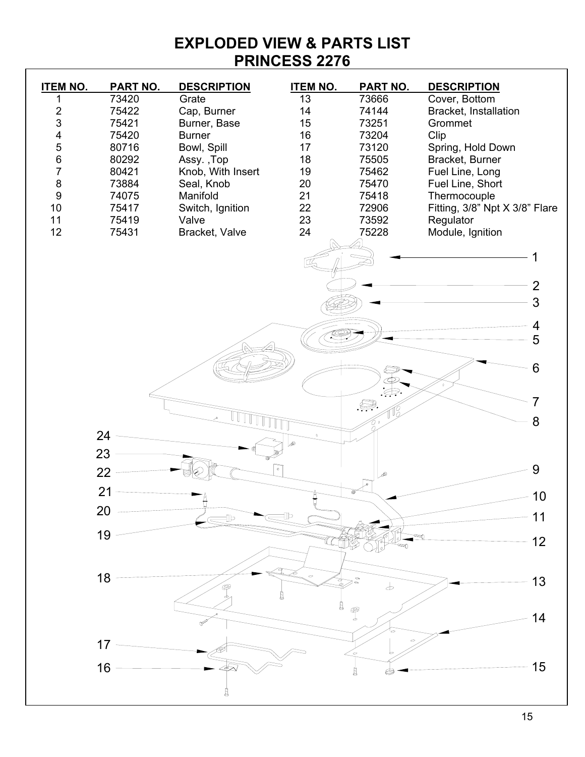**EXPLODED VIEW & PARTS LIST PRINCESS 2276** 

| <b>ITEM NO.</b> | <b>PART NO.</b> | <b>DESCRIPTION</b>        | <b>ITEM NO.</b> | <b>PART NO.</b> | <b>DESCRIPTION</b>                   |    |
|-----------------|-----------------|---------------------------|-----------------|-----------------|--------------------------------------|----|
| 1               | 73420           | Grate                     | 13              | 73666           | Cover, Bottom                        |    |
| $\frac{2}{3}$   | 75422           | Cap, Burner               | 14              | 74144           | Bracket, Installation                |    |
|                 | 75421           | Burner, Base              | 15              | 73251           | Grommet                              |    |
| 4               | 75420           | <b>Burner</b>             | 16              | 73204           | Clip                                 |    |
| 5<br>$\,6$      | 80716<br>80292  | Bowl, Spill<br>Assy., Top | 17<br>18        | 73120<br>75505  | Spring, Hold Down<br>Bracket, Burner |    |
| $\overline{7}$  | 80421           | Knob, With Insert         | 19              | 75462           | Fuel Line, Long                      |    |
| $\bf 8$         | 73884           | Seal, Knob                | 20              | 75470           | Fuel Line, Short                     |    |
| $\overline{9}$  | 74075           | Manifold                  | 21              | 75418           | Thermocouple                         |    |
| 10              | 75417           | Switch, Ignition          | 22              | 72906           | Fitting, 3/8" Npt X 3/8" Flare       |    |
| 11              | 75419           | Valve                     | 23              | 73592           | Regulator                            |    |
| 12              | 75431           | Bracket, Valve            | 24              | 75228           | Module, Ignition                     |    |
|                 |                 |                           |                 |                 |                                      |    |
|                 |                 |                           |                 |                 |                                      |    |
|                 |                 |                           |                 |                 | $\overline{2}$                       |    |
|                 |                 |                           |                 |                 | 3                                    |    |
|                 |                 |                           |                 |                 |                                      |    |
|                 |                 |                           |                 |                 | 4                                    |    |
|                 |                 |                           |                 |                 | 5                                    |    |
|                 |                 |                           |                 |                 | 6                                    |    |
|                 |                 |                           |                 |                 |                                      |    |
|                 |                 |                           |                 | $\Rightarrow$   |                                      |    |
|                 |                 |                           |                 | .Ş.             |                                      |    |
|                 |                 |                           |                 |                 | 8                                    |    |
|                 | 24              |                           | இ               |                 |                                      |    |
|                 | 23              |                           |                 |                 |                                      |    |
|                 | 22              |                           |                 |                 | 9                                    |    |
|                 | 21              |                           |                 |                 |                                      |    |
|                 |                 |                           |                 |                 |                                      | 10 |
|                 | 20              |                           |                 |                 | 11                                   |    |
|                 | 19              |                           |                 |                 |                                      |    |
|                 |                 |                           |                 |                 | 12                                   |    |
|                 |                 |                           |                 |                 |                                      |    |
|                 | 18              |                           |                 | $\downarrow$    | 13                                   |    |
|                 |                 |                           |                 |                 |                                      |    |
|                 |                 |                           |                 | $\mathscr P$    |                                      |    |
|                 |                 |                           |                 |                 |                                      | 14 |
|                 | 17              |                           |                 |                 |                                      |    |
|                 |                 |                           |                 |                 |                                      |    |
|                 | 16              |                           |                 | Ц               | 15                                   |    |
|                 |                 |                           |                 |                 |                                      |    |
|                 |                 |                           |                 |                 |                                      |    |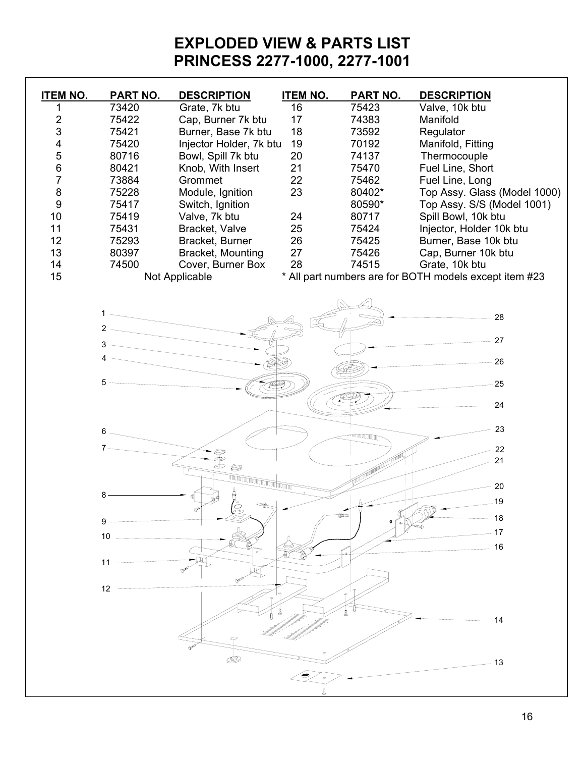#### **EXPLODED VIEW & PARTS LIST PRINCESS 2277-1000, 2277-1001**

| <b>ITEM NO.</b>  | <b>PART NO.</b> | <b>DESCRIPTION</b>                   | <b>ITEM NO.</b> | PART NO. | <b>DESCRIPTION</b>                                     |
|------------------|-----------------|--------------------------------------|-----------------|----------|--------------------------------------------------------|
| 1                | 73420           | Grate, 7k btu                        | 16              | 75423    | Valve, 10k btu                                         |
| $\sqrt{2}$       | 75422           | Cap, Burner 7k btu                   | 17              | 74383    | Manifold                                               |
| 3                | 75421           | Burner, Base 7k btu                  | 18              | 73592    | Regulator                                              |
| 4                | 75420           | Injector Holder, 7k btu              | 19              | 70192    | Manifold, Fitting                                      |
| 5                | 80716           | Bowl, Spill 7k btu                   | 20              | 74137    | Thermocouple                                           |
| $\,6$            | 80421           | Knob, With Insert                    | 21              | 75470    | Fuel Line, Short                                       |
| $\overline{7}$   | 73884           | Grommet                              | 22              | 75462    | Fuel Line, Long                                        |
| $\bf 8$          | 75228           | Module, Ignition                     | 23              | 80402*   | Top Assy. Glass (Model 1000)                           |
| $\boldsymbol{9}$ | 75417           | Switch, Ignition                     |                 | 80590*   | Top Assy. S/S (Model 1001)                             |
| 10               | 75419           | Valve, 7k btu                        | 24              | 80717    | Spill Bowl, 10k btu                                    |
| 11               | 75431           | Bracket, Valve                       | 25              | 75424    | Injector, Holder 10k btu                               |
| 12               | 75293           | Bracket, Burner                      | 26              | 75425    | Burner, Base 10k btu                                   |
| 13               | 80397           | Bracket, Mounting                    | 27              | 75426    | Cap, Burner 10k btu                                    |
| 14               | 74500           | Cover, Burner Box                    | 28              | 74515    | Grate, 10k btu                                         |
| 15               |                 | Not Applicable                       |                 |          | * All part numbers are for BOTH models except item #23 |
|                  |                 |                                      |                 |          |                                                        |
|                  | $1 -$           |                                      |                 |          | 28                                                     |
|                  | $2 \sim$        |                                      |                 |          |                                                        |
|                  |                 |                                      |                 |          | 27                                                     |
|                  | $4 -$           |                                      |                 |          |                                                        |
|                  |                 |                                      |                 |          | 26                                                     |
|                  | $5 -$           |                                      |                 |          | 25                                                     |
|                  |                 |                                      |                 |          |                                                        |
|                  |                 |                                      |                 |          | 24                                                     |
|                  |                 |                                      |                 |          | 23                                                     |
|                  | 6.              |                                      |                 | WWWWW    |                                                        |
|                  |                 |                                      |                 |          | 22                                                     |
|                  |                 | \$9<br>0                             |                 |          | 21                                                     |
|                  |                 | TUTTUTTUTTUTTUTTUTT <sup>TUTTT</sup> |                 |          |                                                        |
|                  |                 |                                      |                 |          | 20                                                     |
|                  | 8               |                                      |                 |          | 19                                                     |
|                  |                 | Ġ                                    |                 |          | M<br>18                                                |
|                  | 9               |                                      |                 |          |                                                        |
|                  | 10 <sub>1</sub> |                                      |                 |          | 17                                                     |
|                  |                 |                                      |                 |          | 16                                                     |
|                  | 11              |                                      |                 |          |                                                        |
|                  |                 |                                      |                 |          |                                                        |
|                  | 12              |                                      |                 |          |                                                        |
|                  |                 |                                      |                 |          |                                                        |
|                  |                 |                                      |                 |          | 14                                                     |
|                  |                 |                                      |                 |          |                                                        |
|                  |                 |                                      |                 |          |                                                        |
|                  |                 |                                      |                 |          | 13                                                     |
|                  |                 |                                      |                 |          |                                                        |
|                  |                 |                                      |                 |          |                                                        |
|                  |                 |                                      |                 |          |                                                        |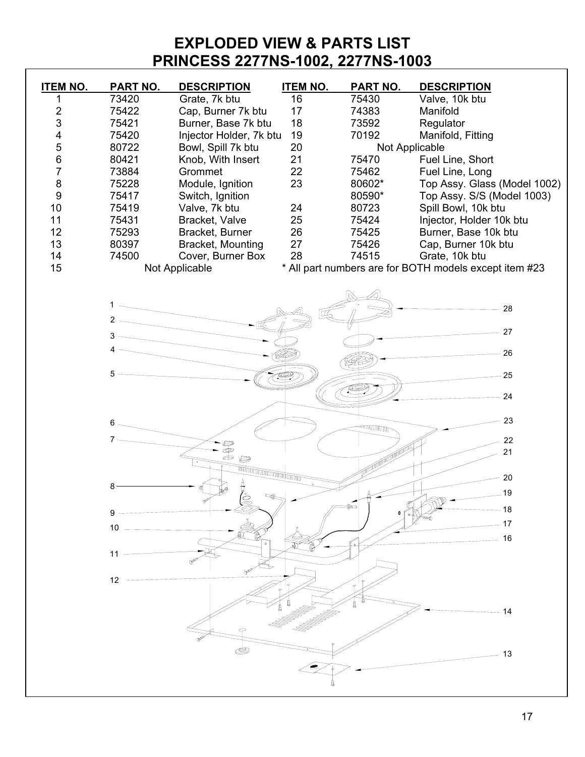#### **EXPLODED VIEW & PARTS LIST PRINCESS 2277NS-1002, 2277NS-1003**

| <b>ITEM NO.</b>         | PART NO. | <b>DESCRIPTION</b>      | <b>ITEM NO.</b> | PART NO. | <b>DESCRIPTION</b>                                     |
|-------------------------|----------|-------------------------|-----------------|----------|--------------------------------------------------------|
| 1                       | 73420    | Grate, 7k btu           | 16              | 75430    | Valve, 10k btu                                         |
| $\mathbf 2$             | 75422    | Cap, Burner 7k btu      | 17              | 74383    | Manifold                                               |
| 3                       | 75421    | Burner, Base 7k btu     | 18              | 73592    | Regulator                                              |
| $\overline{\mathbf{4}}$ | 75420    | Injector Holder, 7k btu | 19              | 70192    | Manifold, Fitting                                      |
| 5                       | 80722    | Bowl, Spill 7k btu      | 20              |          | Not Applicable                                         |
| 6                       | 80421    | Knob, With Insert       | 21              | 75470    | Fuel Line, Short                                       |
| $\overline{7}$          | 73884    | Grommet                 | 22              | 75462    | Fuel Line, Long                                        |
| 8                       | 75228    | Module, Ignition        | 23              | 80602*   | Top Assy. Glass (Model 1002)                           |
| 9                       | 75417    | Switch, Ignition        |                 | 80590*   | Top Assy. S/S (Model 1003)                             |
| 10                      | 75419    | Valve, 7k btu           | 24              | 80723    | Spill Bowl, 10k btu                                    |
| 11                      | 75431    | Bracket, Valve          | 25              | 75424    | Injector, Holder 10k btu                               |
| 12                      | 75293    | Bracket, Burner         | 26              | 75425    | Burner, Base 10k btu                                   |
| 13                      | 80397    | Bracket, Mounting       | 27              | 75426    | Cap, Burner 10k btu                                    |
| 14                      | 74500    | Cover, Burner Box       | 28              | 74515    | Grate, 10k btu                                         |
| 15                      |          | Not Applicable          |                 |          | * All part numbers are for BOTH models except item #23 |
|                         |          |                         |                 |          |                                                        |
|                         | $1 -$    |                         |                 |          |                                                        |
|                         |          |                         |                 |          | $-28$                                                  |
|                         |          |                         |                 |          |                                                        |
|                         |          |                         |                 |          | 27                                                     |
|                         |          |                         |                 |          | 26                                                     |
|                         |          |                         |                 |          |                                                        |
|                         | 5        |                         |                 |          | $-25$                                                  |
|                         |          |                         |                 |          |                                                        |
|                         |          |                         |                 |          | $-24$                                                  |
|                         |          |                         |                 |          | 23                                                     |
|                         | 6 -      |                         |                 | TUUUUTUT |                                                        |
|                         |          |                         |                 |          | 22                                                     |
|                         |          | \$\$<br>0               |                 |          | 21                                                     |
|                         |          |                         |                 |          |                                                        |
|                         |          |                         |                 |          | 20                                                     |
|                         | 8        | (2                      |                 |          | $-19$                                                  |
|                         |          |                         |                 |          | 18                                                     |
|                         | 9        |                         |                 |          | 17                                                     |
|                         | 10       |                         |                 |          |                                                        |
|                         |          |                         |                 |          | 16                                                     |
|                         | 11       |                         |                 |          |                                                        |
|                         |          |                         |                 |          |                                                        |
|                         | 12       |                         |                 |          |                                                        |
|                         |          |                         |                 |          |                                                        |
|                         |          |                         |                 |          | 14                                                     |
|                         |          |                         |                 |          |                                                        |
|                         |          |                         |                 |          |                                                        |
|                         |          |                         |                 |          |                                                        |
|                         |          |                         |                 |          | 13                                                     |
|                         |          |                         |                 |          |                                                        |
|                         |          |                         |                 |          |                                                        |
|                         |          |                         |                 |          |                                                        |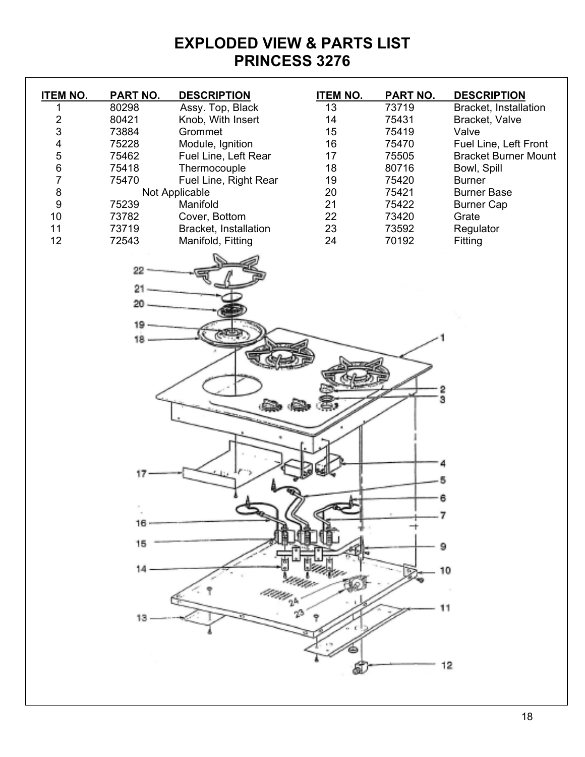#### **EXPLODED VIEW & PARTS LIST PRINCESS 3276**

| <b>ITEM NO.</b>         | <b>PART NO.</b> | <b>DESCRIPTION</b>    | <b>ITEM NO.</b> | <b>PART NO.</b> | <b>DESCRIPTION</b>          |
|-------------------------|-----------------|-----------------------|-----------------|-----------------|-----------------------------|
| 1                       | 80298           | Assy. Top, Black      | 13              | 73719           | Bracket, Installation       |
| $\overline{\mathbf{c}}$ | 80421           | Knob, With Insert     | 14              | 75431           | Bracket, Valve              |
| 3                       | 73884           | Grommet               | 15              | 75419           | Valve                       |
| 4                       | 75228           | Module, Ignition      | $16$            | 75470           | Fuel Line, Left Front       |
| 5                       | 75462           | Fuel Line, Left Rear  | 17              | 75505           | <b>Bracket Burner Mount</b> |
| $\,6$                   | 75418           | Thermocouple          | 18              | 80716           | Bowl, Spill                 |
| $\overline{7}$          | 75470           | Fuel Line, Right Rear | 19              | 75420           | <b>Burner</b>               |
| $\bf 8$                 |                 | Not Applicable        | 20              | 75421           | <b>Burner Base</b>          |
| 9                       | 75239           | Manifold              | 21              | 75422           | <b>Burner Cap</b>           |
| 10                      | 73782           | Cover, Bottom         | 22              | 73420           | Grate                       |
| 11                      | 73719           | Bracket, Installation | 23              | 73592           | Regulator                   |
| 12                      | 72543           | Manifold, Fitting     | 24              | 70192           | Fitting                     |
|                         |                 |                       |                 |                 |                             |
|                         | 22              |                       |                 |                 |                             |
|                         |                 |                       |                 |                 |                             |
|                         | $^{21}$         |                       |                 |                 |                             |
|                         | 20              |                       |                 |                 |                             |
|                         | 19              |                       |                 |                 |                             |
|                         | 18              |                       |                 |                 |                             |
|                         |                 |                       |                 |                 |                             |
|                         |                 |                       |                 |                 |                             |
|                         |                 |                       |                 |                 |                             |
|                         |                 |                       |                 | 2               |                             |
|                         |                 |                       |                 | 3               |                             |
|                         |                 |                       |                 |                 |                             |
|                         |                 |                       |                 |                 |                             |
|                         |                 |                       |                 |                 |                             |
|                         |                 |                       |                 |                 |                             |
|                         | 17              |                       |                 |                 |                             |
|                         |                 |                       |                 |                 |                             |
|                         |                 |                       |                 | 6               |                             |
|                         | 16,             |                       |                 |                 |                             |
|                         |                 |                       |                 |                 |                             |
|                         | 15              |                       |                 | 9               |                             |
|                         |                 |                       |                 |                 |                             |
|                         |                 |                       |                 | 10              |                             |
|                         |                 |                       |                 |                 |                             |
|                         |                 |                       |                 | 11              |                             |
|                         |                 |                       |                 |                 |                             |
|                         |                 |                       |                 |                 |                             |
|                         |                 |                       |                 |                 |                             |
|                         |                 |                       |                 |                 | 12                          |
|                         |                 |                       |                 |                 |                             |
|                         |                 |                       |                 |                 |                             |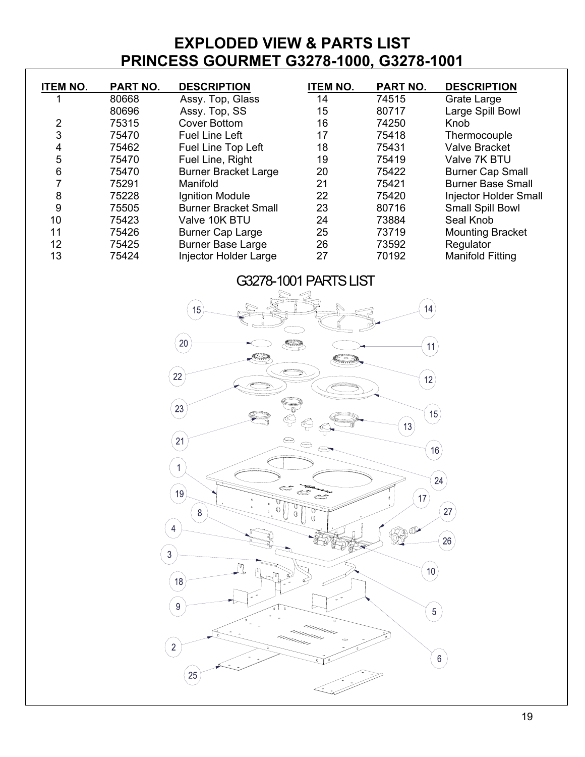#### **EXPLODED VIEW & PARTS LIST PRINCESS GOURMET G3278-1000, G3278-1001**

| <b>ITEM NO.</b> | PART NO. | <b>DESCRIPTION</b>           | <b>ITEM NO.</b> | <b>PART NO.</b> | <b>DESCRIPTION</b>       |
|-----------------|----------|------------------------------|-----------------|-----------------|--------------------------|
|                 | 80668    | Assy. Top, Glass             | 14              | 74515           | Grate Large              |
|                 | 80696    | Assy. Top, SS                | 15              | 80717           | Large Spill Bowl         |
| $\overline{2}$  | 75315    | <b>Cover Bottom</b>          | 16              | 74250           | Knob                     |
| 3               | 75470    | <b>Fuel Line Left</b>        | 17              | 75418           | Thermocouple             |
| 4               | 75462    | Fuel Line Top Left           | 18              | 75431           | <b>Valve Bracket</b>     |
| 5               | 75470    | Fuel Line, Right             | 19              | 75419           | Valve 7K BTU             |
| 6               | 75470    | <b>Burner Bracket Large</b>  | 20              | 75422           | <b>Burner Cap Small</b>  |
|                 | 75291    | Manifold                     | 21              | 75421           | <b>Burner Base Small</b> |
| 8               | 75228    | Ignition Module              | 22              | 75420           | Injector Holder Small    |
| 9               | 75505    | <b>Burner Bracket Small</b>  | 23              | 80716           | Small Spill Bowl         |
| 10              | 75423    | Valve 10K BTU                | 24              | 73884           | Seal Knob                |
| 11              | 75426    | <b>Burner Cap Large</b>      | 25              | 73719           | <b>Mounting Bracket</b>  |
| 12              | 75425    | <b>Burner Base Large</b>     | 26              | 73592           | Regulator                |
| 13              | 75424    | <b>Injector Holder Large</b> | 27              | 70192           | <b>Manifold Fitting</b>  |